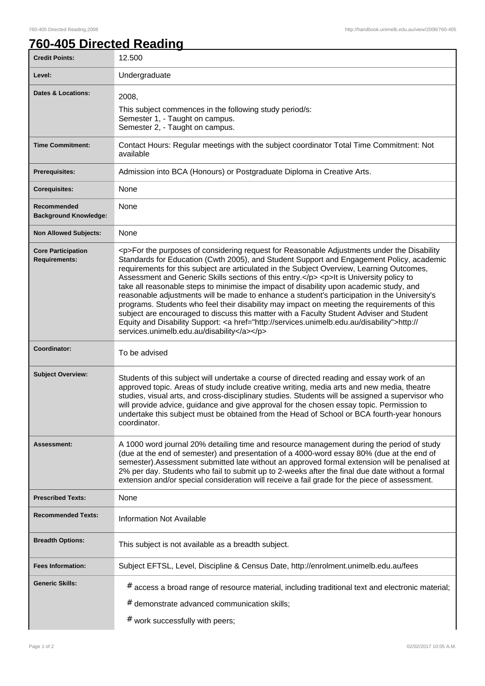٦

## **760-405 Directed Reading**

| <b>Credit Points:</b>                       | 12.500                                                                                                                                                                                                                                                                                                                                                                                                                                                                                                                                                                                                                                                                                                                                                                                                                                                                                                                       |
|---------------------------------------------|------------------------------------------------------------------------------------------------------------------------------------------------------------------------------------------------------------------------------------------------------------------------------------------------------------------------------------------------------------------------------------------------------------------------------------------------------------------------------------------------------------------------------------------------------------------------------------------------------------------------------------------------------------------------------------------------------------------------------------------------------------------------------------------------------------------------------------------------------------------------------------------------------------------------------|
| Level:                                      | Undergraduate                                                                                                                                                                                                                                                                                                                                                                                                                                                                                                                                                                                                                                                                                                                                                                                                                                                                                                                |
| <b>Dates &amp; Locations:</b>               | 2008,<br>This subject commences in the following study period/s:<br>Semester 1, - Taught on campus.<br>Semester 2, - Taught on campus.                                                                                                                                                                                                                                                                                                                                                                                                                                                                                                                                                                                                                                                                                                                                                                                       |
| <b>Time Commitment:</b>                     | Contact Hours: Regular meetings with the subject coordinator Total Time Commitment: Not<br>available                                                                                                                                                                                                                                                                                                                                                                                                                                                                                                                                                                                                                                                                                                                                                                                                                         |
| <b>Prerequisites:</b>                       | Admission into BCA (Honours) or Postgraduate Diploma in Creative Arts.                                                                                                                                                                                                                                                                                                                                                                                                                                                                                                                                                                                                                                                                                                                                                                                                                                                       |
| <b>Corequisites:</b>                        | None                                                                                                                                                                                                                                                                                                                                                                                                                                                                                                                                                                                                                                                                                                                                                                                                                                                                                                                         |
| Recommended<br><b>Background Knowledge:</b> | None                                                                                                                                                                                                                                                                                                                                                                                                                                                                                                                                                                                                                                                                                                                                                                                                                                                                                                                         |
| <b>Non Allowed Subjects:</b>                | None                                                                                                                                                                                                                                                                                                                                                                                                                                                                                                                                                                                                                                                                                                                                                                                                                                                                                                                         |
| <b>Core Participation</b><br>Requirements:  | <p>For the purposes of considering request for Reasonable Adjustments under the Disability<br/>Standards for Education (Cwth 2005), and Student Support and Engagement Policy, academic<br/>requirements for this subject are articulated in the Subject Overview, Learning Outcomes,<br/>Assessment and Generic Skills sections of this entry.</p> <p>lt is University policy to<br/>take all reasonable steps to minimise the impact of disability upon academic study, and<br/>reasonable adjustments will be made to enhance a student's participation in the University's<br/>programs. Students who feel their disability may impact on meeting the requirements of this<br/>subject are encouraged to discuss this matter with a Faculty Student Adviser and Student<br/>Equity and Disability Support: &lt; a href="http://services.unimelb.edu.au/disability"&gt;http://<br/>services.unimelb.edu.au/disability</p> |
| Coordinator:                                | To be advised                                                                                                                                                                                                                                                                                                                                                                                                                                                                                                                                                                                                                                                                                                                                                                                                                                                                                                                |
| <b>Subject Overview:</b>                    | Students of this subject will undertake a course of directed reading and essay work of an<br>approved topic. Areas of study include creative writing, media arts and new media, theatre<br>studies, visual arts, and cross-disciplinary studies. Students will be assigned a supervisor who<br>will provide advice, guidance and give approval for the chosen essay topic. Permission to<br>undertake this subject must be obtained from the Head of School or BCA fourth-year honours<br>coordinator.                                                                                                                                                                                                                                                                                                                                                                                                                       |
| <b>Assessment:</b>                          | A 1000 word journal 20% detailing time and resource management during the period of study<br>(due at the end of semester) and presentation of a 4000-word essay 80% (due at the end of<br>semester). Assessment submitted late without an approved formal extension will be penalised at<br>2% per day. Students who fail to submit up to 2-weeks after the final due date without a formal<br>extension and/or special consideration will receive a fail grade for the piece of assessment.                                                                                                                                                                                                                                                                                                                                                                                                                                 |
| <b>Prescribed Texts:</b>                    | None                                                                                                                                                                                                                                                                                                                                                                                                                                                                                                                                                                                                                                                                                                                                                                                                                                                                                                                         |
| <b>Recommended Texts:</b>                   | <b>Information Not Available</b>                                                                                                                                                                                                                                                                                                                                                                                                                                                                                                                                                                                                                                                                                                                                                                                                                                                                                             |
| <b>Breadth Options:</b>                     | This subject is not available as a breadth subject.                                                                                                                                                                                                                                                                                                                                                                                                                                                                                                                                                                                                                                                                                                                                                                                                                                                                          |
| <b>Fees Information:</b>                    | Subject EFTSL, Level, Discipline & Census Date, http://enrolment.unimelb.edu.au/fees                                                                                                                                                                                                                                                                                                                                                                                                                                                                                                                                                                                                                                                                                                                                                                                                                                         |
| <b>Generic Skills:</b>                      | # access a broad range of resource material, including traditional text and electronic material;<br>$#$ demonstrate advanced communication skills;<br>$#$ work successfully with peers;                                                                                                                                                                                                                                                                                                                                                                                                                                                                                                                                                                                                                                                                                                                                      |